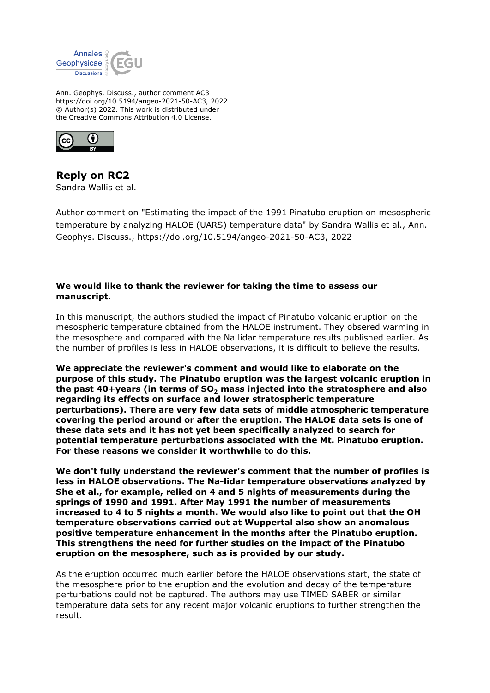

Ann. Geophys. Discuss., author comment AC3 https://doi.org/10.5194/angeo-2021-50-AC3, 2022 © Author(s) 2022. This work is distributed under the Creative Commons Attribution 4.0 License.



## **Reply on RC2**

Sandra Wallis et al.

Author comment on "Estimating the impact of the 1991 Pinatubo eruption on mesospheric temperature by analyzing HALOE (UARS) temperature data" by Sandra Wallis et al., Ann. Geophys. Discuss., https://doi.org/10.5194/angeo-2021-50-AC3, 2022

## **We would like to thank the reviewer for taking the time to assess our manuscript.**

In this manuscript, the authors studied the impact of Pinatubo volcanic eruption on the mesospheric temperature obtained from the HALOE instrument. They obsered warming in the mesosphere and compared with the Na lidar temperature results published earlier. As the number of profiles is less in HALOE observations, it is difficult to believe the results.

**We appreciate the reviewer's comment and would like to elaborate on the purpose of this study. The Pinatubo eruption was the largest volcanic eruption in the past 40+years (in terms of SO2 mass injected into the stratosphere and also regarding its effects on surface and lower stratospheric temperature perturbations). There are very few data sets of middle atmospheric temperature covering the period around or after the eruption. The HALOE data sets is one of these data sets and it has not yet been specifically analyzed to search for potential temperature perturbations associated with the Mt. Pinatubo eruption. For these reasons we consider it worthwhile to do this.**

**We don't fully understand the reviewer's comment that the number of profiles is less in HALOE observations. The Na-lidar temperature observations analyzed by She et al., for example, relied on 4 and 5 nights of measurements during the springs of 1990 and 1991. After May 1991 the number of measurements increased to 4 to 5 nights a month. We would also like to point out that the OH temperature observations carried out at Wuppertal also show an anomalous positive temperature enhancement in the months after the Pinatubo eruption. This strengthens the need for further studies on the impact of the Pinatubo eruption on the mesosphere, such as is provided by our study.**

As the eruption occurred much earlier before the HALOE observations start, the state of the mesosphere prior to the eruption and the evolution and decay of the temperature perturbations could not be captured. The authors may use TIMED SABER or similar temperature data sets for any recent major volcanic eruptions to further strengthen the result.